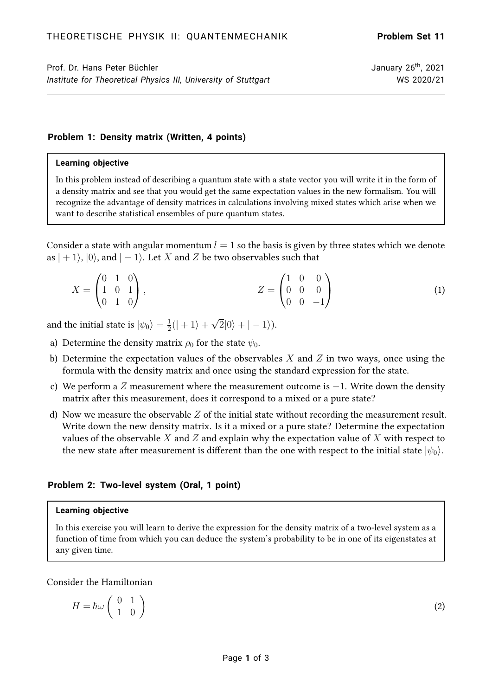(2)

# **Problem 1: Density matrix (Written, 4 points)**

### **Learning objective**

In this problem instead of describing a quantum state with a state vector you will write it in the form of a density matrix and see that you would get the same expectation values in the new formalism. You will recognize the advantage of density matrices in calculations involving mixed states which arise when we want to describe statistical ensembles of pure quantum states.

Consider a state with angular momentum  $l = 1$  so the basis is given by three states which we denote as  $|+1\rangle$ ,  $|0\rangle$ , and  $|-1\rangle$ . Let X and Z be two observables such that

$$
X = \begin{pmatrix} 0 & 1 & 0 \\ 1 & 0 & 1 \\ 0 & 1 & 0 \end{pmatrix}, \qquad Z = \begin{pmatrix} 1 & 0 & 0 \\ 0 & 0 & 0 \\ 0 & 0 & -1 \end{pmatrix}
$$
 (1)

and the initial state is  $|\psi_0\rangle=\frac{1}{2}$  $\frac{1}{2}(|+1\rangle +$ √  $|2|0\rangle + |-1\rangle$ ).

- a) Determine the density matrix  $\rho_0$  for the state  $\psi_0$ .
- b) Determine the expectation values of the observables  $X$  and  $Z$  in two ways, once using the formula with the density matrix and once using the standard expression for the state.
- c) We perform a Z measurement where the measurement outcome is  $-1$ . Write down the density matrix after this measurement, does it correspond to a mixed or a pure state?
- d) Now we measure the observable  $Z$  of the initial state without recording the measurement result. Write down the new density matrix. Is it a mixed or a pure state? Determine the expectation values of the observable X and Z and explain why the expectation value of X with respect to the new state after measurement is different than the one with respect to the initial state  $|\psi_0\rangle$ .

# **Problem 2: Two-level system (Oral, 1 point)**

## **Learning objective**

In this exercise you will learn to derive the expression for the density matrix of a two-level system as a function of time from which you can deduce the system's probability to be in one of its eigenstates at any given time.

### Consider the Hamiltonian

$$
H=\hbar\omega\left(\begin{array}{cc} 0 & 1 \\ 1 & 0 \end{array}\right)
$$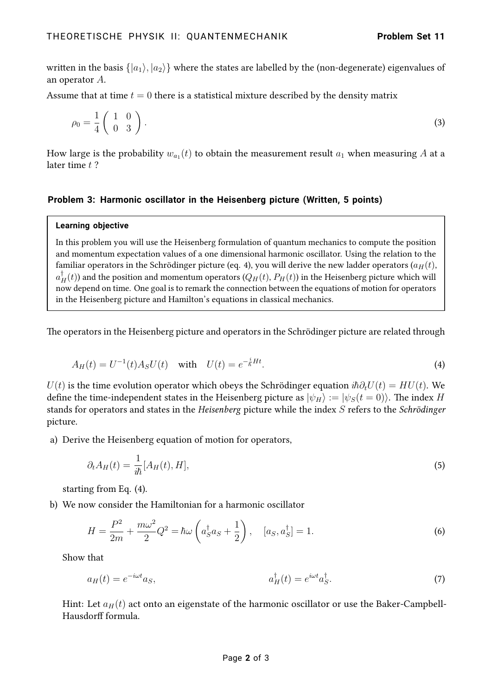written in the basis  $\{|a_1\rangle, |a_2\rangle\}$  where the states are labelled by the (non-degenerate) eigenvalues of an operator A.

Assume that at time  $t = 0$  there is a statistical mixture described by the density matrix

$$
\rho_0 = \frac{1}{4} \left( \begin{array}{cc} 1 & 0 \\ 0 & 3 \end{array} \right). \tag{3}
$$

How large is the probability  $w_{a_1}(t)$  to obtain the measurement result  $a_1$  when measuring  $A$  at a later time  $t$  ?

# **Problem 3: Harmonic oscillator in the Heisenberg picture (Written, 5 points)**

#### **Learning objective**

In this problem you will use the Heisenberg formulation of quantum mechanics to compute the position and momentum expectation values of a one dimensional harmonic oscillator. Using the relation to the familiar operators in the Schrödinger picture (eq. [4\)](#page-1-0), you will derive the new ladder operators ( $a_H(t)$ ,  $a_H^{\dagger}(t)$ ) and the position and momentum operators  $(Q_H(t), P_H(t))$  in the Heisenberg picture which will now depend on time. One goal is to remark the connection between the equations of motion for operators in the Heisenberg picture and Hamilton's equations in classical mechanics.

<span id="page-1-0"></span>The operators in the Heisenberg picture and operators in the Schrödinger picture are related through

$$
A_H(t) = U^{-1}(t)A_S U(t) \quad \text{with} \quad U(t) = e^{-\frac{i}{\hbar}Ht}.\tag{4}
$$

 $U(t)$  is the time evolution operator which obeys the Schrödinger equation  $i\hbar \partial_t U(t) = H U(t)$ . We define the time-independent states in the Heisenberg picture as  $|\psi_H\rangle := |\psi_S(t=0)\rangle$ . The index H stands for operators and states in the Heisenberg picture while the index S refers to the Schrödinger picture.

a) Derive the Heisenberg equation of motion for operators,

<span id="page-1-1"></span>
$$
\partial_t A_H(t) = \frac{1}{i\hbar} [A_H(t), H],\tag{5}
$$

starting from Eq. [\(4\)](#page-1-0).

b) We now consider the Hamiltonian for a harmonic oscillator

$$
H = \frac{P^2}{2m} + \frac{m\omega^2}{2}Q^2 = \hbar\omega\left(a_S^{\dagger}a_S + \frac{1}{2}\right), \quad [a_S, a_S^{\dagger}] = 1.
$$
 (6)

Show that

$$
a_H(t) = e^{-i\omega t} a_S,
$$
\n
$$
a_H^{\dagger}(t) = e^{i\omega t} a_S^{\dagger}.
$$
\n(7)

Hint: Let  $a_H(t)$  act onto an eigenstate of the harmonic oscillator or use the Baker-Campbell-Hausdorff formula.